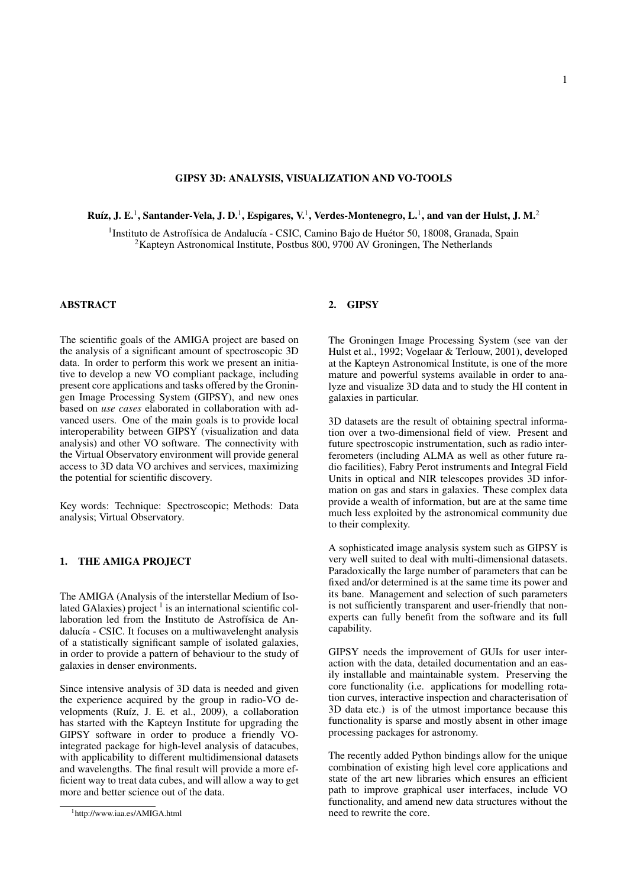### GIPSY 3D: ANALYSIS, VISUALIZATION AND VO-TOOLS

Ruíz, J. E.<sup>1</sup>, Santander-Vela, J. D.<sup>1</sup>, Espigares, V.<sup>1</sup>, Verdes-Montenegro, L.<sup>1</sup>, and van der Hulst, J. M.<sup>2</sup>

<sup>1</sup>Instituto de Astrofísica de Andalucía - CSIC, Camino Bajo de Huétor 50, 18008, Granada, Spain <sup>2</sup>Kapteyn Astronomical Institute, Postbus 800, 9700 AV Groningen, The Netherlands

# ABSTRACT

The scientific goals of the AMIGA project are based on the analysis of a significant amount of spectroscopic 3D data. In order to perform this work we present an initiative to develop a new VO compliant package, including present core applications and tasks offered by the Groningen Image Processing System (GIPSY), and new ones based on *use cases* elaborated in collaboration with advanced users. One of the main goals is to provide local interoperability between GIPSY (visualization and data analysis) and other VO software. The connectivity with the Virtual Observatory environment will provide general access to 3D data VO archives and services, maximizing the potential for scientific discovery.

Key words: Technique: Spectroscopic; Methods: Data analysis; Virtual Observatory.

# 1. THE AMIGA PROJECT

The AMIGA (Analysis of the interstellar Medium of Isolated GAlaxies) project  $<sup>1</sup>$  is an international scientific col-</sup> laboration led from the Instituto de Astrofísica de Andalucía - CSIC. It focuses on a multiwavelenght analysis of a statistically significant sample of isolated galaxies, in order to provide a pattern of behaviour to the study of galaxies in denser environments.

Since intensive analysis of 3D data is needed and given the experience acquired by the group in radio-VO developments (Ruíz, J. E. et al., 2009), a collaboration has started with the Kapteyn Institute for upgrading the GIPSY software in order to produce a friendly VOintegrated package for high-level analysis of datacubes, with applicability to different multidimensional datasets and wavelengths. The final result will provide a more efficient way to treat data cubes, and will allow a way to get more and better science out of the data.

### 2. GIPSY

The Groningen Image Processing System (see van der Hulst et al., 1992; Vogelaar & Terlouw, 2001), developed at the Kapteyn Astronomical Institute, is one of the more mature and powerful systems available in order to analyze and visualize 3D data and to study the HI content in galaxies in particular.

3D datasets are the result of obtaining spectral information over a two-dimensional field of view. Present and future spectroscopic instrumentation, such as radio interferometers (including ALMA as well as other future radio facilities), Fabry Perot instruments and Integral Field Units in optical and NIR telescopes provides 3D information on gas and stars in galaxies. These complex data provide a wealth of information, but are at the same time much less exploited by the astronomical community due to their complexity.

A sophisticated image analysis system such as GIPSY is very well suited to deal with multi-dimensional datasets. Paradoxically the large number of parameters that can be fixed and/or determined is at the same time its power and its bane. Management and selection of such parameters is not sufficiently transparent and user-friendly that nonexperts can fully benefit from the software and its full capability.

GIPSY needs the improvement of GUIs for user interaction with the data, detailed documentation and an easily installable and maintainable system. Preserving the core functionality (i.e. applications for modelling rotation curves, interactive inspection and characterisation of 3D data etc.) is of the utmost importance because this functionality is sparse and mostly absent in other image processing packages for astronomy.

The recently added Python bindings allow for the unique combination of existing high level core applications and state of the art new libraries which ensures an efficient path to improve graphical user interfaces, include VO functionality, and amend new data structures without the need to rewrite the core.

<sup>1</sup>http://www.iaa.es/AMIGA.html